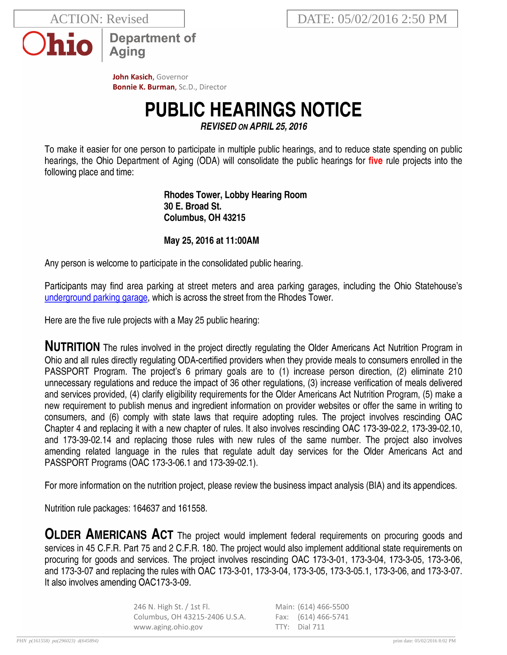**ACTION: Revised** 



**Department of** Aging

John Kasich, Governor **Bonnie K. Burman, Sc.D., Director** 

## **PUBLIC HEARINGS NOTICE**

**REVISED ON APRIL 25, 2016** 

To make it easier for one person to participate in multiple public hearings, and to reduce state spending on public hearings, the Ohio Department of Aging (ODA) will consolidate the public hearings for five rule projects into the following place and time:

> **Rhodes Tower, Lobby Hearing Room** 30 E. Broad St. Columbus, OH 43215

## May 25, 2016 at 11:00AM

Any person is welcome to participate in the consolidated public hearing.

Participants may find area parking at street meters and area parking garages, including the Ohio Statehouse's underground parking garage, which is across the street from the Rhodes Tower.

Here are the five rule projects with a May 25 public hearing:

**NUTRITION** The rules involved in the project directly regulating the Older Americans Act Nutrition Program in Ohio and all rules directly regulating ODA-certified providers when they provide meals to consumers enrolled in the PASSPORT Program. The project's 6 primary goals are to (1) increase person direction, (2) eliminate 210 unnecessary regulations and reduce the impact of 36 other regulations, (3) increase verification of meals delivered and services provided, (4) clarify eligibility requirements for the Older Americans Act Nutrition Program, (5) make a new requirement to publish menus and ingredient information on provider websites or offer the same in writing to consumers, and (6) comply with state laws that require adopting rules. The project involves rescinding OAC Chapter 4 and replacing it with a new chapter of rules. It also involves rescinding OAC 173-39-02.2, 173-39-02.10, and 173-39-02.14 and replacing those rules with new rules of the same number. The project also involves amending related language in the rules that regulate adult day services for the Older Americans Act and PASSPORT Programs (OAC 173-3-06.1 and 173-39-02.1).

For more information on the nutrition project, please review the business impact analysis (BIA) and its appendices.

Nutrition rule packages: 164637 and 161558.

**OLDER AMERICANS ACT** The project would implement federal requirements on procuring goods and services in 45 C.F.R. Part 75 and 2 C.F.R. 180. The project would also implement additional state requirements on procuring for goods and services. The project involves rescinding OAC 173-3-01, 173-3-04, 173-3-05, 173-3-06, and 173-3-07 and replacing the rules with OAC 173-3-01, 173-3-04, 173-3-05, 173-3-05.1, 173-3-06, and 173-3-07. It also involves amending OAC173-3-09.

> 246 N. High St. / 1st Fl.<br>Columbus, OH 43215-2406 U.S.A. Main: (614) 466-5500 Fax: (614) 466-5741 www.aging.ohio.gov TTY: Dial 711